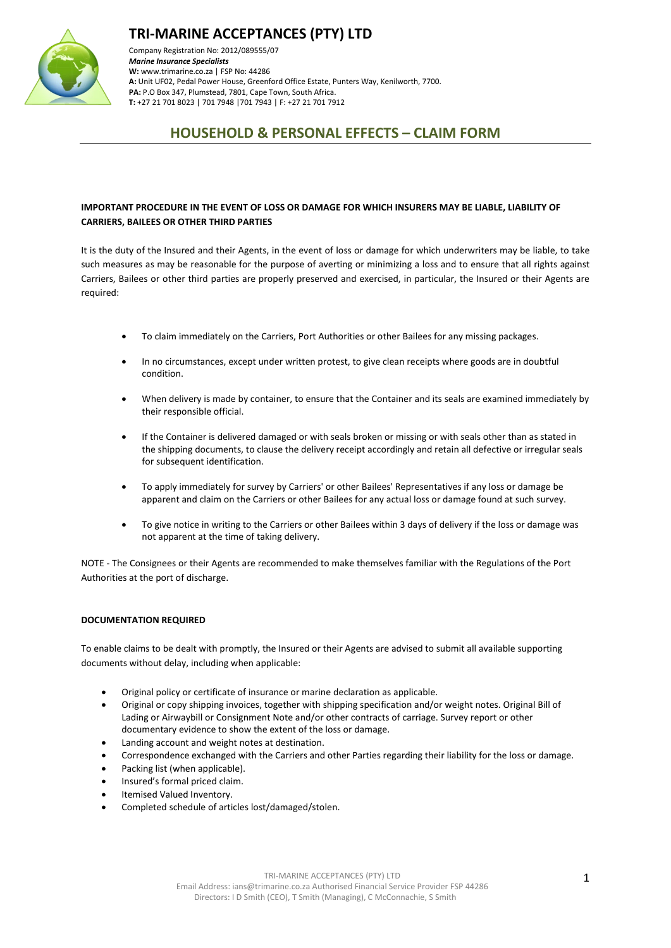



Company Registration No: 2012/089555/07 *Marine Insurance Specialists*  **W:** [www.trimarine.co.za](http://www.trimarine.co.za/) | FSP No: 44286 **A:** Unit UF02, Pedal Power House, Greenford Office Estate, Punters Way, Kenilworth, 7700. **PA:** P.O Box 347, Plumstead, 7801, Cape Town, South Africa. **T:** +27 21 701 8023 | 701 7948 |701 7943 | F: +27 21 701 7912

### **HOUSEHOLD & PERSONAL EFFECTS – CLAIM FORM**

#### **IMPORTANT PROCEDURE IN THE EVENT OF LOSS OR DAMAGE FOR WHICH INSURERS MAY BE LIABLE, LIABILITY OF CARRIERS, BAILEES OR OTHER THIRD PARTIES**

It is the duty of the Insured and their Agents, in the event of loss or damage for which underwriters may be liable, to take such measures as may be reasonable for the purpose of averting or minimizing a loss and to ensure that all rights against Carriers, Bailees or other third parties are properly preserved and exercised, in particular, the Insured or their Agents are required:

- To claim immediately on the Carriers, Port Authorities or other Bailees for any missing packages.
- In no circumstances, except under written protest, to give clean receipts where goods are in doubtful condition.
- When delivery is made by container, to ensure that the Container and its seals are examined immediately by their responsible official.
- If the Container is delivered damaged or with seals broken or missing or with seals other than as stated in the shipping documents, to clause the delivery receipt accordingly and retain all defective or irregular seals for subsequent identification.
- To apply immediately for survey by Carriers' or other Bailees' Representatives if any loss or damage be apparent and claim on the Carriers or other Bailees for any actual loss or damage found at such survey.
- To give notice in writing to the Carriers or other Bailees within 3 days of delivery if the loss or damage was not apparent at the time of taking delivery.

NOTE - The Consignees or their Agents are recommended to make themselves familiar with the Regulations of the Port Authorities at the port of discharge.

#### **DOCUMENTATION REQUIRED**

To enable claims to be dealt with promptly, the Insured or their Agents are advised to submit all available supporting documents without delay, including when applicable:

- Original policy or certificate of insurance or marine declaration as applicable.
- Original or copy shipping invoices, together with shipping specification and/or weight notes. Original Bill of Lading or Airwaybill or Consignment Note and/or other contracts of carriage. Survey report or other documentary evidence to show the extent of the loss or damage.
- Landing account and weight notes at destination.
- Correspondence exchanged with the Carriers and other Parties regarding their liability for the loss or damage.
- Packing list (when applicable).
- Insured's formal priced claim.
- Itemised Valued Inventory.
- Completed schedule of articles lost/damaged/stolen.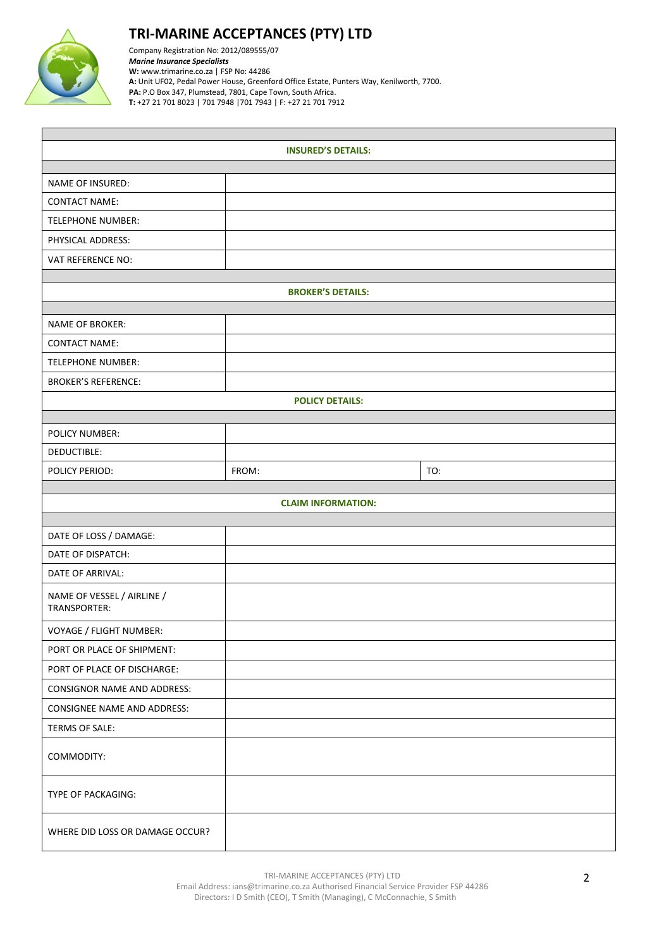

## **TRI-MARINE ACCEPTANCES (PTY) LTD**

Company Registration No: 2012/089555/07 *Marine Insurance Specialists*  **W:** [www.trimarine.co.za](http://www.trimarine.co.za/) | FSP No: 44286 **A:** Unit UF02, Pedal Power House, Greenford Office Estate, Punters Way, Kenilworth, 7700. **PA:** P.O Box 347, Plumstead, 7801, Cape Town, South Africa. **T:** +27 21 701 8023 | 701 7948 |701 7943 | F: +27 21 701 7912

| <b>INSURED'S DETAILS:</b>                  |       |  |     |  |  |  |  |  |
|--------------------------------------------|-------|--|-----|--|--|--|--|--|
|                                            |       |  |     |  |  |  |  |  |
| NAME OF INSURED:                           |       |  |     |  |  |  |  |  |
| <b>CONTACT NAME:</b>                       |       |  |     |  |  |  |  |  |
| <b>TELEPHONE NUMBER:</b>                   |       |  |     |  |  |  |  |  |
| PHYSICAL ADDRESS:                          |       |  |     |  |  |  |  |  |
| VAT REFERENCE NO:                          |       |  |     |  |  |  |  |  |
| <b>BROKER'S DETAILS:</b>                   |       |  |     |  |  |  |  |  |
|                                            |       |  |     |  |  |  |  |  |
| <b>NAME OF BROKER:</b>                     |       |  |     |  |  |  |  |  |
| <b>CONTACT NAME:</b>                       |       |  |     |  |  |  |  |  |
| TELEPHONE NUMBER:                          |       |  |     |  |  |  |  |  |
| <b>BROKER'S REFERENCE:</b>                 |       |  |     |  |  |  |  |  |
| <b>POLICY DETAILS:</b>                     |       |  |     |  |  |  |  |  |
|                                            |       |  |     |  |  |  |  |  |
| POLICY NUMBER:                             |       |  |     |  |  |  |  |  |
| DEDUCTIBLE:                                |       |  |     |  |  |  |  |  |
| POLICY PERIOD:                             | FROM: |  | TO: |  |  |  |  |  |
| <b>CLAIM INFORMATION:</b>                  |       |  |     |  |  |  |  |  |
|                                            |       |  |     |  |  |  |  |  |
| DATE OF LOSS / DAMAGE:                     |       |  |     |  |  |  |  |  |
| DATE OF DISPATCH:                          |       |  |     |  |  |  |  |  |
| DATE OF ARRIVAL:                           |       |  |     |  |  |  |  |  |
| NAME OF VESSEL / AIRLINE /<br>TRANSPORTER: |       |  |     |  |  |  |  |  |
| VOYAGE / FLIGHT NUMBER:                    |       |  |     |  |  |  |  |  |
| PORT OR PLACE OF SHIPMENT:                 |       |  |     |  |  |  |  |  |
| PORT OF PLACE OF DISCHARGE:                |       |  |     |  |  |  |  |  |
| <b>CONSIGNOR NAME AND ADDRESS:</b>         |       |  |     |  |  |  |  |  |
| <b>CONSIGNEE NAME AND ADDRESS:</b>         |       |  |     |  |  |  |  |  |
| <b>TERMS OF SALE:</b>                      |       |  |     |  |  |  |  |  |
| COMMODITY:                                 |       |  |     |  |  |  |  |  |
| TYPE OF PACKAGING:                         |       |  |     |  |  |  |  |  |
| WHERE DID LOSS OR DAMAGE OCCUR?            |       |  |     |  |  |  |  |  |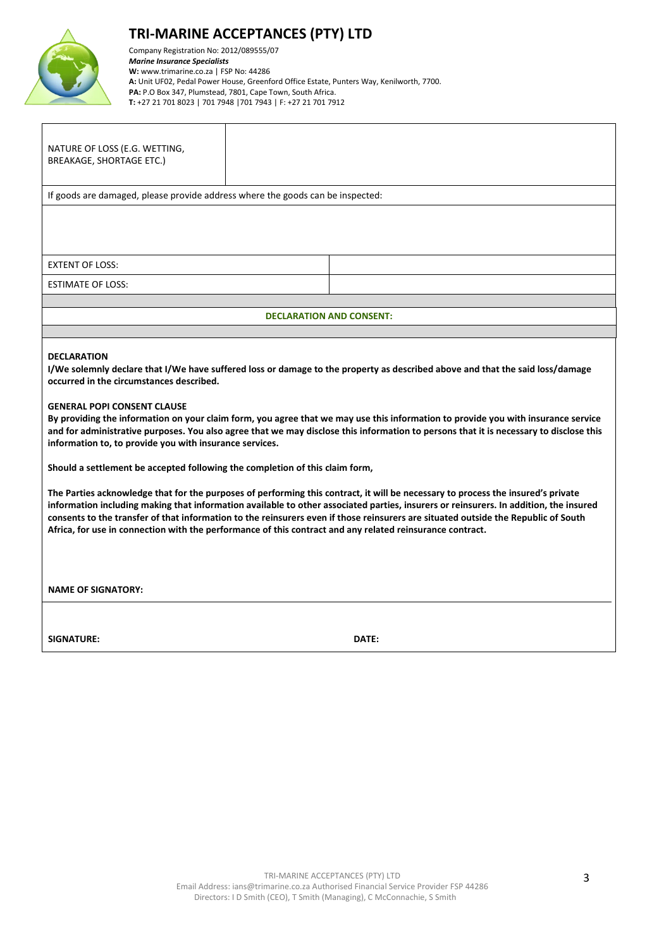

# **TRI-MARINE ACCEPTANCES (PTY) LTD**

Company Registration No: 2012/089555/07 *Marine Insurance Specialists*  **W:** [www.trimarine.co.za](http://www.trimarine.co.za/) | FSP No: 44286 **A:** Unit UF02, Pedal Power House, Greenford Office Estate, Punters Way, Kenilworth, 7700. **PA:** P.O Box 347, Plumstead, 7801, Cape Town, South Africa. **T:** +27 21 701 8023 | 701 7948 |701 7943 | F: +27 21 701 7912

| NATURE OF LOSS (E.G. WETTING,<br>BREAKAGE, SHORTAGE ETC.)                                                                                                                                                                                                                                                                                                                                                                                                                                                                                                                                                                                                                                                                                                                                                                                                                                                                                                                                                                                                                                                                                                                                                                    |                                 |  |  |  |  |  |  |
|------------------------------------------------------------------------------------------------------------------------------------------------------------------------------------------------------------------------------------------------------------------------------------------------------------------------------------------------------------------------------------------------------------------------------------------------------------------------------------------------------------------------------------------------------------------------------------------------------------------------------------------------------------------------------------------------------------------------------------------------------------------------------------------------------------------------------------------------------------------------------------------------------------------------------------------------------------------------------------------------------------------------------------------------------------------------------------------------------------------------------------------------------------------------------------------------------------------------------|---------------------------------|--|--|--|--|--|--|
| If goods are damaged, please provide address where the goods can be inspected:                                                                                                                                                                                                                                                                                                                                                                                                                                                                                                                                                                                                                                                                                                                                                                                                                                                                                                                                                                                                                                                                                                                                               |                                 |  |  |  |  |  |  |
|                                                                                                                                                                                                                                                                                                                                                                                                                                                                                                                                                                                                                                                                                                                                                                                                                                                                                                                                                                                                                                                                                                                                                                                                                              |                                 |  |  |  |  |  |  |
| <b>EXTENT OF LOSS:</b>                                                                                                                                                                                                                                                                                                                                                                                                                                                                                                                                                                                                                                                                                                                                                                                                                                                                                                                                                                                                                                                                                                                                                                                                       |                                 |  |  |  |  |  |  |
| <b>ESTIMATE OF LOSS:</b>                                                                                                                                                                                                                                                                                                                                                                                                                                                                                                                                                                                                                                                                                                                                                                                                                                                                                                                                                                                                                                                                                                                                                                                                     |                                 |  |  |  |  |  |  |
|                                                                                                                                                                                                                                                                                                                                                                                                                                                                                                                                                                                                                                                                                                                                                                                                                                                                                                                                                                                                                                                                                                                                                                                                                              | <b>DECLARATION AND CONSENT:</b> |  |  |  |  |  |  |
|                                                                                                                                                                                                                                                                                                                                                                                                                                                                                                                                                                                                                                                                                                                                                                                                                                                                                                                                                                                                                                                                                                                                                                                                                              |                                 |  |  |  |  |  |  |
| <b>DECLARATION</b><br>I/We solemnly declare that I/We have suffered loss or damage to the property as described above and that the said loss/damage<br>occurred in the circumstances described.<br><b>GENERAL POPI CONSENT CLAUSE</b><br>By providing the information on your claim form, you agree that we may use this information to provide you with insurance service<br>and for administrative purposes. You also agree that we may disclose this information to persons that it is necessary to disclose this<br>information to, to provide you with insurance services.<br>Should a settlement be accepted following the completion of this claim form,<br>The Parties acknowledge that for the purposes of performing this contract, it will be necessary to process the insured's private<br>information including making that information available to other associated parties, insurers or reinsurers. In addition, the insured<br>consents to the transfer of that information to the reinsurers even if those reinsurers are situated outside the Republic of South<br>Africa, for use in connection with the performance of this contract and any related reinsurance contract.<br><b>NAME OF SIGNATORY:</b> |                                 |  |  |  |  |  |  |
| SIGNATURE:                                                                                                                                                                                                                                                                                                                                                                                                                                                                                                                                                                                                                                                                                                                                                                                                                                                                                                                                                                                                                                                                                                                                                                                                                   | DATE:                           |  |  |  |  |  |  |